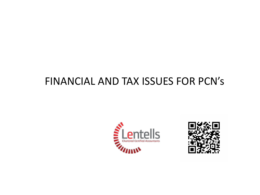#### FINANCIAL AND TAX ISSUES FOR PCN's



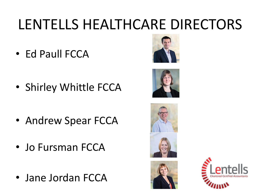## LENTELLS HEALTHCARE DIRECTORS

• Ed Paull FCCA



• Shirley Whittle FCCA



- Andrew Spear FCCA
- Jo Fursman FCCA
- Jane Jordan FCCA





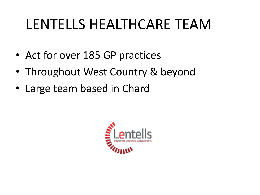#### LENTELLS HEALTHCARE TEAM

- Act for over 185 GP practices
- Throughout West Country & beyond
- Large team based in Chard

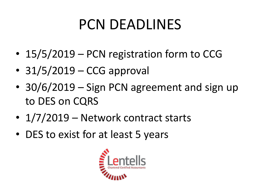## PCN DEADLINES

- 15/5/2019 PCN registration form to CCG
- 31/5/2019 CCG approval
- 30/6/2019 Sign PCN agreement and sign up to DES on CQRS
- 1/7/2019 Network contract starts
- DES to exist for at least 5 years

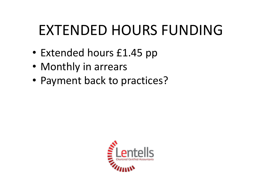## EXTENDED HOURS FUNDING

- Extended hours £1.45 pp
- Monthly in arrears
- Payment back to practices?

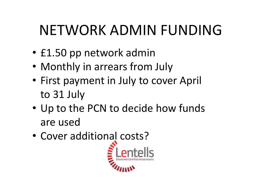## NETWORK ADMIN FUNDING

- £1.50 pp network admin
- Monthly in arrears from July
- First payment in July to cover April to 31 July
- Up to the PCN to decide how funds are used
- Cover additional costs?

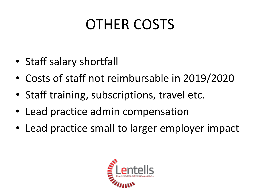## OTHER COSTS

- Staff salary shortfall
- Costs of staff not reimbursable in 2019/2020
- Staff training, subscriptions, travel etc.
- Lead practice admin compensation
- Lead practice small to larger employer impact

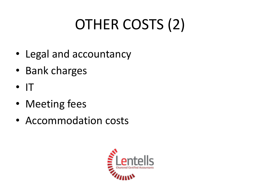# OTHER COSTS (2)

- Legal and accountancy
- Bank charges
- $\bullet$  IT
- Meeting fees
- Accommodation costs

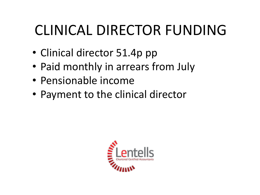## CLINICAL DIRECTOR FUNDING

- Clinical director 51.4p pp
- Paid monthly in arrears from July
- Pensionable income
- Payment to the clinical director

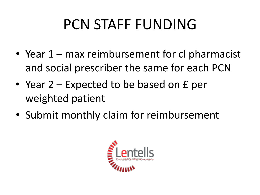## PCN STAFF FUNDING

- Year 1 max reimbursement for cl pharmacist and social prescriber the same for each PCN
- Year 2 Expected to be based on £ per weighted patient
- Submit monthly claim for reimbursement

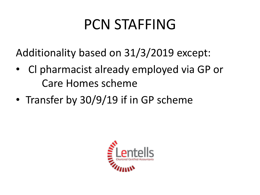#### PCN STAFFING

Additionality based on 31/3/2019 except:

- Cl pharmacist already employed via GP or Care Homes scheme
- Transfer by 30/9/19 if in GP scheme

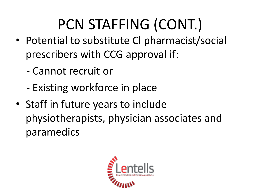## PCN STAFFING (CONT.)

- Potential to substitute Cl pharmacist/social prescribers with CCG approval if:
	- Cannot recruit or
	- Existing workforce in place
- Staff in future years to include physiotherapists, physician associates and paramedics

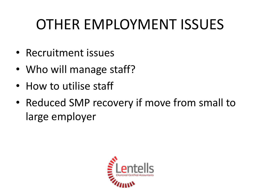## OTHER EMPLOYMENT ISSUES

- Recruitment issues
- Who will manage staff?
- How to utilise staff
- Reduced SMP recovery if move from small to large employer

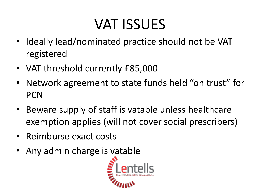## VAT ISSUES

- Ideally lead/nominated practice should not be VAT registered
- VAT threshold currently £85,000
- Network agreement to state funds held "on trust" for **PCN**
- Beware supply of staff is vatable unless healthcare exemption applies (will not cover social prescribers)
- Reimburse exact costs
- Any admin charge is vatable

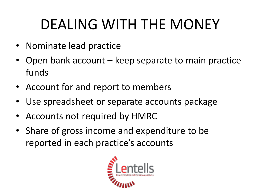## DEALING WITH THE MONEY

- Nominate lead practice
- Open bank account keep separate to main practice funds
- Account for and report to members
- Use spreadsheet or separate accounts package
- Accounts not required by HMRC
- Share of gross income and expenditure to be reported in each practice's accounts

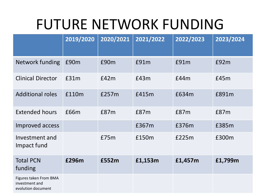#### FUTURE NETWORK FUNDING

|                                                                | 2019/2020 | 2020/2021 | 2021/2022 | 2022/2023 | 2023/2024 |
|----------------------------------------------------------------|-----------|-----------|-----------|-----------|-----------|
| Network funding                                                | £90m      | £90m      | £91m      | E91m      | £92m      |
| <b>Clinical Director</b>                                       | £31m      | E42m      | E43m      | £44m      | £45m      |
| <b>Additional roles</b>                                        | £110m     | £257m     | £415m     | £634m     | £891m     |
| <b>Extended hours</b>                                          | £66m      | £87m      | £87m      | £87m      | £87m      |
| Improved access                                                |           |           | £367m     | £376m     | £385m     |
| Investment and<br>Impact fund                                  |           | £75m      | £150m     | £225m     | £300m     |
| <b>Total PCN</b><br>funding                                    | £296m     | £552m     | £1,153m   | £1,457m   | £1,799m   |
| Figures taken From BMA<br>investment and<br>evolution document |           |           |           |           |           |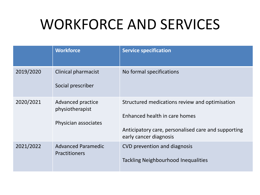#### WORKFORCE AND SERVICES

|           | <b>Workforce</b>                                             | <b>Service specification</b>                                                                                                                                     |
|-----------|--------------------------------------------------------------|------------------------------------------------------------------------------------------------------------------------------------------------------------------|
| 2019/2020 | <b>Clinical pharmacist</b><br>Social prescriber              | No formal specifications                                                                                                                                         |
| 2020/2021 | Advanced practice<br>physiotherapist<br>Physician associates | Structured medications review and optimisation<br>Enhanced health in care homes<br>Anticipatory care, personalised care and supporting<br>early cancer diagnosis |
| 2021/2022 | <b>Advanced Paramedic</b><br><b>Practitioners</b>            | CVD prevention and diagnosis<br><b>Tackling Neighbourhood Inequalities</b>                                                                                       |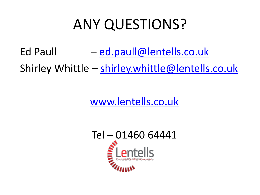#### ANY QUESTIONS?

Ed Paull  $-$  [ed.paull@lentells.co.uk](mailto:ed.paull@lentells.co.uk) Shirley Whittle - [shirley.whittle@lentells.co.uk](mailto:shirley.whittle@lentells.co.uk)

[www.lentells.co.uk](http://www.lentells.co.uk/)

Tel – 01460 64441